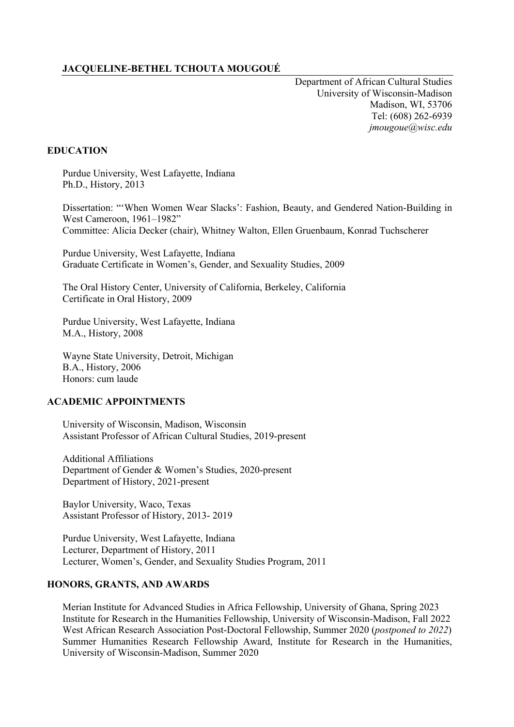# **JACQUELINE-BETHEL TCHOUTA MOUGOUÉ**

Department of African Cultural Studies University of Wisconsin-Madison Madison, WI, 53706 Tel: (608) 262-6939  *jmougoue@wisc.edu*

### **EDUCATION**

Purdue University, West Lafayette, Indiana Ph.D., History, 2013

Dissertation: "'When Women Wear Slacks': Fashion, Beauty, and Gendered Nation-Building in West Cameroon, 1961–1982" Committee: Alicia Decker (chair), Whitney Walton, Ellen Gruenbaum, Konrad Tuchscherer

Purdue University, West Lafayette, Indiana Graduate Certificate in Women's, Gender, and Sexuality Studies, 2009

The Oral History Center, University of California, Berkeley, California Certificate in Oral History, 2009

Purdue University, West Lafayette, Indiana M.A., History, 2008

Wayne State University, Detroit, Michigan B.A., History, 2006 Honors: cum laude

# **ACADEMIC APPOINTMENTS**

University of Wisconsin, Madison, Wisconsin Assistant Professor of African Cultural Studies, 2019-present

Additional Affiliations Department of Gender & Women's Studies, 2020-present Department of History, 2021-present

Baylor University, Waco, Texas Assistant Professor of History, 2013- 2019

Purdue University, West Lafayette, Indiana Lecturer, Department of History, 2011 Lecturer, Women's, Gender, and Sexuality Studies Program, 2011

### **HONORS, GRANTS, AND AWARDS**

Merian Institute for Advanced Studies in Africa Fellowship, University of Ghana, Spring 2023 Institute for Research in the Humanities Fellowship, University of Wisconsin-Madison, Fall 2022 West African Research Association Post-Doctoral Fellowship, Summer 2020 (*postponed to 2022*) Summer Humanities Research Fellowship Award, Institute for Research in the Humanities, University of Wisconsin-Madison, Summer 2020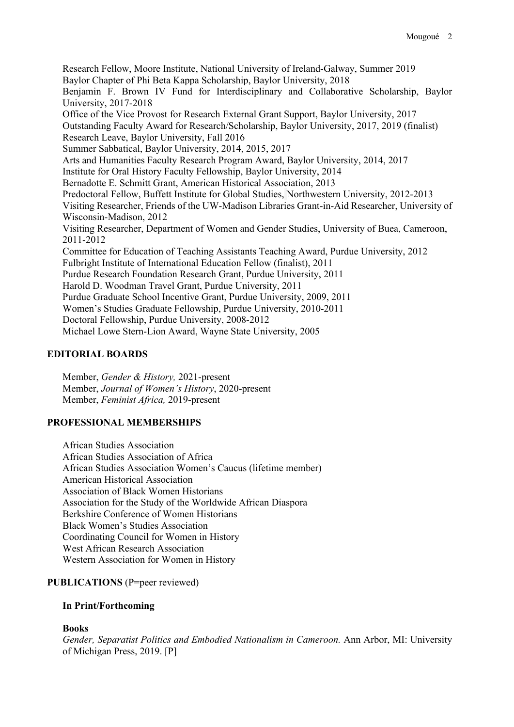Research Fellow, Moore Institute, National University of Ireland-Galway, Summer 2019 Baylor Chapter of Phi Beta Kappa Scholarship, Baylor University, 2018 Benjamin F. Brown IV Fund for Interdisciplinary and Collaborative Scholarship, Baylor University, 2017-2018 Office of the Vice Provost for Research External Grant Support, Baylor University, 2017 Outstanding Faculty Award for Research/Scholarship, Baylor University, 2017, 2019 (finalist) Research Leave, Baylor University, Fall 2016 Summer Sabbatical, Baylor University, 2014, 2015, 2017 Arts and Humanities Faculty Research Program Award, Baylor University, 2014, 2017 Institute for Oral History Faculty Fellowship, Baylor University, 2014 Bernadotte E. Schmitt Grant, American Historical Association, 2013 Predoctoral Fellow, Buffett Institute for Global Studies, Northwestern University, 2012-2013 Visiting Researcher, Friends of the UW-Madison Libraries Grant-in-Aid Researcher, University of Wisconsin-Madison, 2012 Visiting Researcher, Department of Women and Gender Studies, University of Buea, Cameroon, 2011-2012 Committee for Education of Teaching Assistants Teaching Award, Purdue University, 2012 Fulbright Institute of International Education Fellow (finalist), 2011 Purdue Research Foundation Research Grant, Purdue University, 2011 Harold D. Woodman Travel Grant, Purdue University, 2011 Purdue Graduate School Incentive Grant, Purdue University, 2009, 2011 Women's Studies Graduate Fellowship, Purdue University, 2010-2011 Doctoral Fellowship, Purdue University, 2008-2012 Michael Lowe Stern-Lion Award, Wayne State University, 2005

# **EDITORIAL BOARDS**

Member, *Gender & History,* 2021-present Member, *Journal of Women's History*, 2020-present Member, *Feminist Africa,* 2019-present

# **PROFESSIONAL MEMBERSHIPS**

African Studies Association African Studies Association of Africa African Studies Association Women's Caucus (lifetime member) American Historical Association Association of Black Women Historians Association for the Study of the Worldwide African Diaspora Berkshire Conference of Women Historians Black Women's Studies Association Coordinating Council for Women in History West African Research Association Western Association for Women in History

# **PUBLICATIONS** (P=peer reviewed)

## **In Print/Forthcoming**

## **Books**

*Gender, Separatist Politics and Embodied Nationalism in Cameroon.* Ann Arbor, MI: University of Michigan Press, 2019. [P]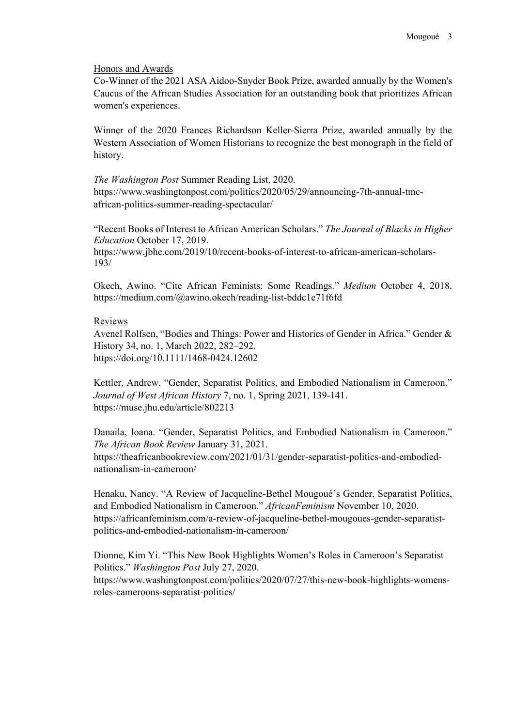#### Honors and Awards

Co-Winner of the 2021 ASA Aidoo-Snyder Book Prize, awarded annually by the Women's Caucus of the African Studies Association for an outstanding book that prioritizes African women's experiences.

Winner of the 2020 Frances Richardson Keller-Sierra Prize, awarded annually by the Western Association of Women Historians to recognize the best monograph in the field of history.

*The Washington Post* Summer Reading List, 2020. https://www.washingtonpost.com/politics/2020/05/29/announcing-7th-annual-tmcafrican-politics-summer-reading-spectacular/

"Recent Books of Interest to African American Scholars." *The Journal of Blacks in Higher Education* October 17, 2019. https://www.jbhe.com/2019/10/recent-books-of-interest-to-african-american-scholars-193/

Okech, Awino. "Cite African Feminists: Some Readings." *Medium* October 4, 2018. https://medium.com/@awino.okech/reading-list-bddc1e71f6fd

#### Reviews

Avenel Rolfsen, "Bodies and Things: Power and Histories of Gender in Africa." Gender & History 34, no. 1, March 2022, 282–292. https://doi.org/10.1111/1468-0424.12602

Kettler, Andrew. "Gender, Separatist Politics, and Embodied Nationalism in Cameroon." *Journal of West African History* 7, no. 1, Spring 2021, 139-141. https://muse.jhu.edu/article/802213

Danaila, Ioana. "Gender, Separatist Politics, and Embodied Nationalism in Cameroon." *The African Book Review* January 31, 2021. https://theafricanbookreview.com/2021/01/31/gender-separatist-politics-and-embodiednationalism-in-cameroon/

Henaku, Nancy. "A Review of Jacqueline-Bethel Mougoué's Gender, Separatist Politics, and Embodied Nationalism in Cameroon." *AfricanFeminism* November 10, 2020. https://africanfeminism.com/a-review-of-jacqueline-bethel-mougoues-gender-separatistpolitics-and-embodied-nationalism-in-cameroon/

Dionne, Kim Yi. "This New Book Highlights Women's Roles in Cameroon's Separatist Politics." *Washington Post* July 27, 2020. https://www.washingtonpost.com/politics/2020/07/27/this-new-book-highlights-womensroles-cameroons-separatist-politics/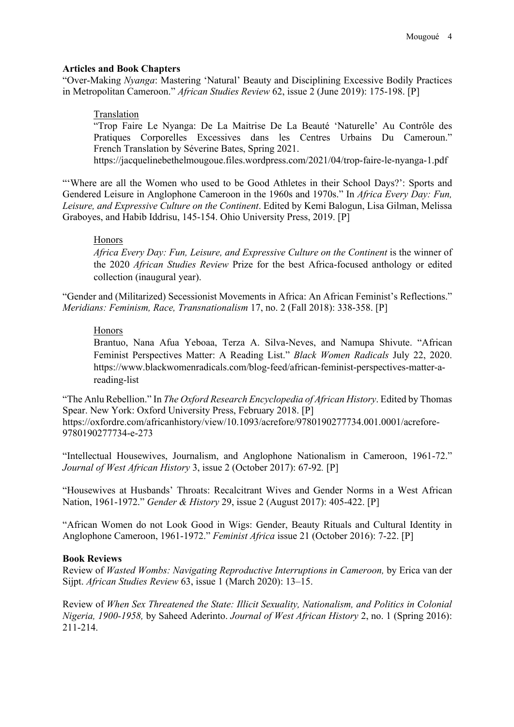#### **Articles and Book Chapters**

"Over-Making *Nyanga*: Mastering 'Natural' Beauty and Disciplining Excessive Bodily Practices in Metropolitan Cameroon." *African Studies Review* 62, issue 2 (June 2019): 175-198. [P]

#### Translation

"Trop Faire Le Nyanga: De La Maitrise De La Beauté 'Naturelle' Au Contrôle des Pratiques Corporelles Excessives dans les Centres Urbains Du Cameroun." French Translation by Séverine Bates, Spring 2021.

https://jacquelinebethelmougoue.files.wordpress.com/2021/04/trop-faire-le-nyanga-1.pdf

"'Where are all the Women who used to be Good Athletes in their School Days?': Sports and Gendered Leisure in Anglophone Cameroon in the 1960s and 1970s." In *Africa Every Day: Fun, Leisure, and Expressive Culture on the Continent*. Edited by Kemi Balogun, Lisa Gilman, Melissa Graboyes, and Habib Iddrisu, 145-154. Ohio University Press, 2019. [P]

## Honors

*Africa Every Day: Fun, Leisure, and Expressive Culture on the Continent* is the winner of the 2020 *African Studies Review* Prize for the best Africa-focused anthology or edited collection (inaugural year).

"Gender and (Militarized) Secessionist Movements in Africa: An African Feminist's Reflections." *Meridians: Feminism, Race, Transnationalism* 17, no. 2 (Fall 2018): 338-358. [P]

#### Honors

Brantuo, Nana Afua Yeboaa, Terza A. Silva-Neves, and Namupa Shivute. "African Feminist Perspectives Matter: A Reading List." *Black Women Radicals* July 22, 2020. https://www.blackwomenradicals.com/blog-feed/african-feminist-perspectives-matter-areading-list

"The Anlu Rebellion." In *The Oxford Research Encyclopedia of African History*. Edited by Thomas Spear. New York: Oxford University Press, February 2018. [P] https://oxfordre.com/africanhistory/view/10.1093/acrefore/9780190277734.001.0001/acrefore-9780190277734-e-273

"Intellectual Housewives, Journalism, and Anglophone Nationalism in Cameroon, 1961-72." *Journal of West African History* 3, issue 2 (October 2017): 67-92*.* [P]

"Housewives at Husbands' Throats: Recalcitrant Wives and Gender Norms in a West African Nation, 1961-1972." *Gender & History* 29, issue 2 (August 2017): 405-422. [P]

"African Women do not Look Good in Wigs: Gender, Beauty Rituals and Cultural Identity in Anglophone Cameroon, 1961-1972." *Feminist Africa* issue 21 (October 2016): 7-22. [P]

### **Book Reviews**

Review of *Wasted Wombs: Navigating Reproductive Interruptions in Cameroon,* by Erica van der Sijpt. *African Studies Review* 63, issue 1 (March 2020): 13–15.

Review of *When Sex Threatened the State: Illicit Sexuality, Nationalism, and Politics in Colonial Nigeria, 1900-1958,* by Saheed Aderinto. *Journal of West African History* 2, no. 1 (Spring 2016): 211-214.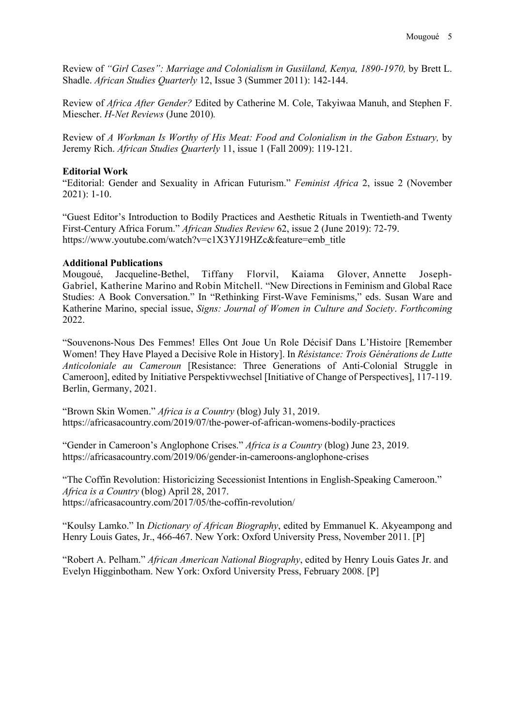Review of *"Girl Cases": Marriage and Colonialism in Gusiiland, Kenya, 1890-1970,* by Brett L. Shadle. *African Studies Quarterly* 12, Issue 3 (Summer 2011): 142-144.

Review of *Africa After Gender?* Edited by Catherine M. Cole, Takyiwaa Manuh, and Stephen F. Miescher. *H-Net Reviews* (June 2010)*.*

Review of *A Workman Is Worthy of His Meat: Food and Colonialism in the Gabon Estuary,* by Jeremy Rich. *African Studies Quarterly* 11, issue 1 (Fall 2009): 119-121.

## **Editorial Work**

"Editorial: Gender and Sexuality in African Futurism." *Feminist Africa* 2, issue 2 (November 2021): 1-10.

"Guest Editor's Introduction to Bodily Practices and Aesthetic Rituals in Twentieth-and Twenty First-Century Africa Forum." *African Studies Review* 62, issue 2 (June 2019): 72-79. https://www.youtube.com/watch?v=c1X3YJ19HZc&feature=emb\_title

## **Additional Publications**

Mougoué, Jacqueline-Bethel, Tiffany Florvil, Kaiama Glover, Annette Joseph-Gabriel, Katherine Marino and Robin Mitchell. "New Directions in Feminism and Global Race Studies: A Book Conversation." In "Rethinking First-Wave Feminisms," eds. Susan Ware and Katherine Marino, special issue, *Signs: Journal of Women in Culture and Society*. *Forthcoming* 2022.

"Souvenons-Nous Des Femmes! Elles Ont Joue Un Role Décisif Dans L'Histoire [Remember Women! They Have Played a Decisive Role in History]. In *Résistance: Trois Générations de Lutte Anticoloniale au Cameroun* [Resistance: Three Generations of Anti-Colonial Struggle in Cameroon], edited by Initiative Perspektivwechsel [Initiative of Change of Perspectives], 117-119. Berlin, Germany, 2021.

"Brown Skin Women." *Africa is a Country* (blog) July 31, 2019. https://africasacountry.com/2019/07/the-power-of-african-womens-bodily-practices

"Gender in Cameroon's Anglophone Crises." *Africa is a Country* (blog) June 23, 2019. https://africasacountry.com/2019/06/gender-in-cameroons-anglophone-crises

"The Coffin Revolution: Historicizing Secessionist Intentions in English-Speaking Cameroon." *Africa is a Country* (blog) April 28, 2017. https://africasacountry.com/2017/05/the-coffin-revolution/

"Koulsy Lamko." In *Dictionary of African Biography*, edited by Emmanuel K. Akyeampong and Henry Louis Gates, Jr., 466-467. New York: Oxford University Press, November 2011. [P]

"Robert A. Pelham." *African American National Biography*, edited by Henry Louis Gates Jr. and Evelyn Higginbotham. New York: Oxford University Press, February 2008. [P]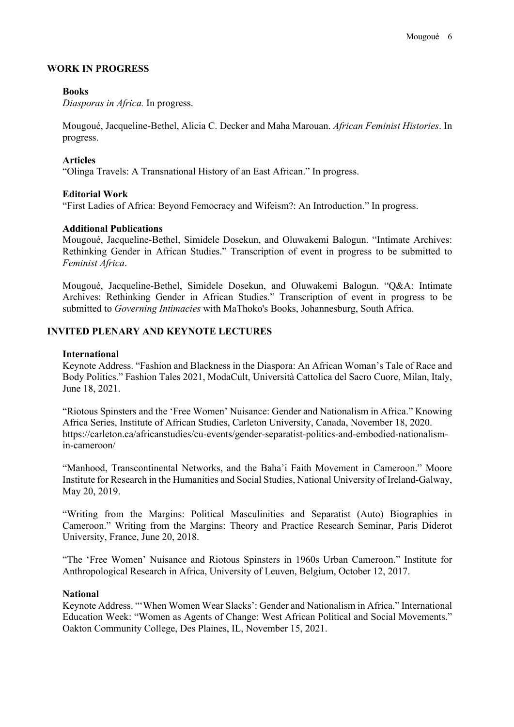## **WORK IN PROGRESS**

## **Books**

*Diasporas in Africa.* In progress.

Mougoué, Jacqueline-Bethel, Alicia C. Decker and Maha Marouan. *African Feminist Histories*. In progress.

## **Articles**

"Olinga Travels: A Transnational History of an East African." In progress.

## **Editorial Work**

"First Ladies of Africa: Beyond Femocracy and Wifeism?: An Introduction." In progress.

## **Additional Publications**

Mougoué, Jacqueline-Bethel, Simidele Dosekun, and Oluwakemi Balogun. "Intimate Archives: Rethinking Gender in African Studies." Transcription of event in progress to be submitted to *Feminist Africa*.

Mougoué, Jacqueline-Bethel, Simidele Dosekun, and Oluwakemi Balogun. "Q&A: Intimate Archives: Rethinking Gender in African Studies." Transcription of event in progress to be submitted to *Governing Intimacies* with MaThoko's Books, Johannesburg, South Africa.

# **INVITED PLENARY AND KEYNOTE LECTURES**

## **International**

Keynote Address. "Fashion and Blackness in the Diaspora: An African Woman's Tale of Race and Body Politics." Fashion Tales 2021, ModaCult, Università Cattolica del Sacro Cuore, Milan, Italy, June 18, 2021.

"Riotous Spinsters and the 'Free Women' Nuisance: Gender and Nationalism in Africa." Knowing Africa Series, Institute of African Studies, Carleton University, Canada, November 18, 2020. https://carleton.ca/africanstudies/cu-events/gender-separatist-politics-and-embodied-nationalismin-cameroon/

"Manhood, Transcontinental Networks, and the Baha'i Faith Movement in Cameroon." Moore Institute for Research in the Humanities and Social Studies, National University of Ireland-Galway, May 20, 2019.

"Writing from the Margins: Political Masculinities and Separatist (Auto) Biographies in Cameroon." Writing from the Margins: Theory and Practice Research Seminar, Paris Diderot University, France, June 20, 2018.

"The 'Free Women' Nuisance and Riotous Spinsters in 1960s Urban Cameroon." Institute for Anthropological Research in Africa, University of Leuven, Belgium, October 12, 2017.

### **National**

Keynote Address. "'When Women Wear Slacks': Gender and Nationalism in Africa." International Education Week: "Women as Agents of Change: West African Political and Social Movements." Oakton Community College, Des Plaines, IL, November 15, 2021.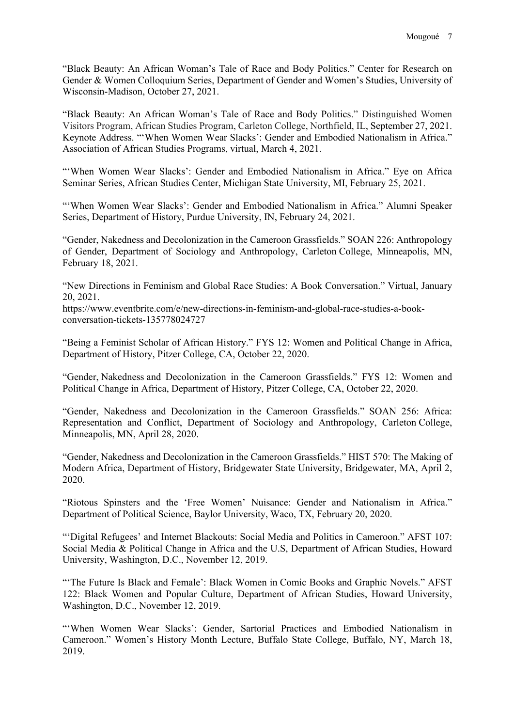"Black Beauty: An African Woman's Tale of Race and Body Politics." Center for Research on Gender & Women Colloquium Series, Department of Gender and Women's Studies, University of Wisconsin-Madison, October 27, 2021.

"Black Beauty: An African Woman's Tale of Race and Body Politics." Distinguished Women Visitors Program, African Studies Program, Carleton College, Northfield, IL, September 27, 2021. Keynote Address. "'When Women Wear Slacks': Gender and Embodied Nationalism in Africa." Association of African Studies Programs, virtual, March 4, 2021.

"'When Women Wear Slacks': Gender and Embodied Nationalism in Africa." Eye on Africa Seminar Series, African Studies Center, Michigan State University, MI, February 25, 2021.

"'When Women Wear Slacks': Gender and Embodied Nationalism in Africa." Alumni Speaker Series, Department of History, Purdue University, IN, February 24, 2021.

"Gender, Nakedness and Decolonization in the Cameroon Grassfields." SOAN 226: Anthropology of Gender, Department of Sociology and Anthropology, Carleton College, Minneapolis, MN, February 18, 2021.

"New Directions in Feminism and Global Race Studies: A Book Conversation." Virtual, January 20, 2021.

https://www.eventbrite.com/e/new-directions-in-feminism-and-global-race-studies-a-bookconversation-tickets-135778024727

"Being a Feminist Scholar of African History." FYS 12: Women and Political Change in Africa, Department of History, Pitzer College, CA, October 22, 2020.

"Gender, Nakedness and Decolonization in the Cameroon Grassfields." FYS 12: Women and Political Change in Africa, Department of History, Pitzer College, CA, October 22, 2020.

"Gender, Nakedness and Decolonization in the Cameroon Grassfields." SOAN 256: Africa: Representation and Conflict, Department of Sociology and Anthropology, Carleton College, Minneapolis, MN, April 28, 2020.

"Gender, Nakedness and Decolonization in the Cameroon Grassfields." HIST 570: The Making of Modern Africa, Department of History, Bridgewater State University, Bridgewater, MA, April 2, 2020.

"Riotous Spinsters and the 'Free Women' Nuisance: Gender and Nationalism in Africa." Department of Political Science, Baylor University, Waco, TX, February 20, 2020.

"'Digital Refugees' and Internet Blackouts: Social Media and Politics in Cameroon." AFST 107: Social Media & Political Change in Africa and the U.S, Department of African Studies, Howard University, Washington, D.C., November 12, 2019.

"The Future Is Black and Female': Black Women in Comic Books and Graphic Novels." AFST 122: Black Women and Popular Culture, Department of African Studies, Howard University, Washington, D.C., November 12, 2019.

"'When Women Wear Slacks': Gender, Sartorial Practices and Embodied Nationalism in Cameroon." Women's History Month Lecture, Buffalo State College, Buffalo, NY, March 18, 2019.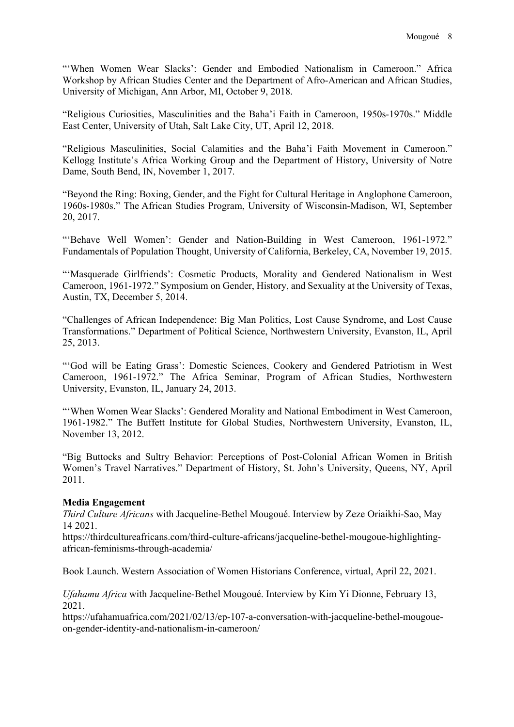"'When Women Wear Slacks': Gender and Embodied Nationalism in Cameroon." Africa Workshop by African Studies Center and the Department of Afro-American and African Studies, University of Michigan, Ann Arbor, MI, October 9, 2018.

"Religious Curiosities, Masculinities and the Baha'i Faith in Cameroon, 1950s-1970s." Middle East Center, University of Utah, Salt Lake City, UT, April 12, 2018.

"Religious Masculinities, Social Calamities and the Baha'i Faith Movement in Cameroon." Kellogg Institute's Africa Working Group and the Department of History, University of Notre Dame, South Bend, IN, November 1, 2017.

"Beyond the Ring: Boxing, Gender, and the Fight for Cultural Heritage in Anglophone Cameroon, 1960s-1980s." The African Studies Program, University of Wisconsin-Madison, WI, September 20, 2017.

"'Behave Well Women': Gender and Nation-Building in West Cameroon, 1961-1972*.*" Fundamentals of Population Thought, University of California, Berkeley, CA, November 19, 2015.

"'Masquerade Girlfriends': Cosmetic Products, Morality and Gendered Nationalism in West Cameroon, 1961-1972." Symposium on Gender, History, and Sexuality at the University of Texas, Austin, TX, December 5, 2014.

"Challenges of African Independence: Big Man Politics, Lost Cause Syndrome, and Lost Cause Transformations." Department of Political Science, Northwestern University, Evanston, IL, April 25, 2013.

"'God will be Eating Grass': Domestic Sciences, Cookery and Gendered Patriotism in West Cameroon, 1961-1972." The Africa Seminar, Program of African Studies, Northwestern University, Evanston, IL, January 24, 2013.

"'When Women Wear Slacks': Gendered Morality and National Embodiment in West Cameroon, 1961-1982." The Buffett Institute for Global Studies, Northwestern University, Evanston, IL, November 13, 2012.

"Big Buttocks and Sultry Behavior: Perceptions of Post-Colonial African Women in British Women's Travel Narratives." Department of History, St. John's University, Queens, NY, April 2011.

### **Media Engagement**

*Third Culture Africans* with Jacqueline-Bethel Mougoué. Interview by Zeze Oriaikhi-Sao, May 14 2021.

https://thirdcultureafricans.com/third-culture-africans/jacqueline-bethel-mougoue-highlightingafrican-feminisms-through-academia/

Book Launch. Western Association of Women Historians Conference, virtual, April 22, 2021.

*Ufahamu Africa* with Jacqueline-Bethel Mougoué. Interview by Kim Yi Dionne, February 13, 2021.

https://ufahamuafrica.com/2021/02/13/ep-107-a-conversation-with-jacqueline-bethel-mougoueon-gender-identity-and-nationalism-in-cameroon/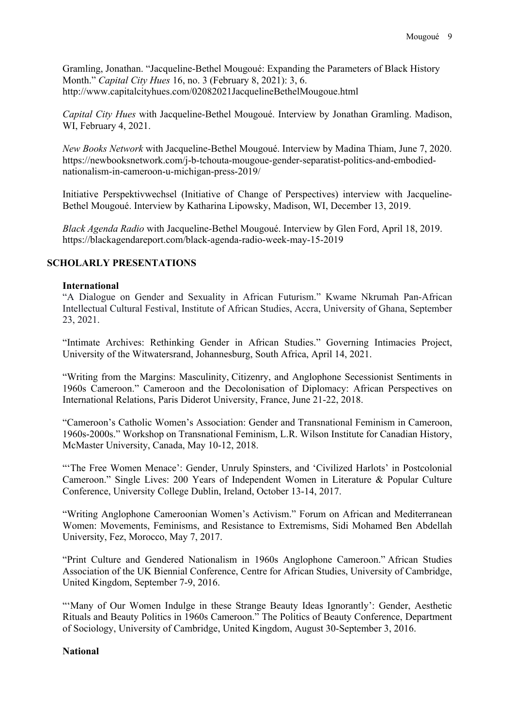Gramling, Jonathan. "Jacqueline-Bethel Mougoué: Expanding the Parameters of Black History Month." *Capital City Hues* 16, no. 3 (February 8, 2021): 3, 6. http://www.capitalcityhues.com/02082021JacquelineBethelMougoue.html

*Capital City Hues* with Jacqueline-Bethel Mougoué. Interview by Jonathan Gramling. Madison, WI, February 4, 2021.

*New Books Network* with Jacqueline-Bethel Mougoué. Interview by Madina Thiam, June 7, 2020. https://newbooksnetwork.com/j-b-tchouta-mougoue-gender-separatist-politics-and-embodiednationalism-in-cameroon-u-michigan-press-2019/

Initiative Perspektivwechsel (Initiative of Change of Perspectives) interview with Jacqueline-Bethel Mougoué. Interview by Katharina Lipowsky, Madison, WI, December 13, 2019.

*Black Agenda Radio* with Jacqueline-Bethel Mougoué. Interview by Glen Ford, April 18, 2019. https://blackagendareport.com/black-agenda-radio-week-may-15-2019

## **SCHOLARLY PRESENTATIONS**

### **International**

"A Dialogue on Gender and Sexuality in African Futurism." Kwame Nkrumah Pan-African Intellectual Cultural Festival, Institute of African Studies, Accra, University of Ghana, September 23, 2021.

"Intimate Archives: Rethinking Gender in African Studies." Governing Intimacies Project, University of the Witwatersrand, Johannesburg, South Africa, April 14, 2021.

"Writing from the Margins: Masculinity, Citizenry, and Anglophone Secessionist Sentiments in 1960s Cameroon." Cameroon and the Decolonisation of Diplomacy: African Perspectives on International Relations, Paris Diderot University, France, June 21-22, 2018.

"Cameroon's Catholic Women's Association: Gender and Transnational Feminism in Cameroon, 1960s-2000s." Workshop on Transnational Feminism, L.R. Wilson Institute for Canadian History, McMaster University, Canada, May 10-12, 2018.

"'The Free Women Menace': Gender, Unruly Spinsters, and 'Civilized Harlots' in Postcolonial Cameroon." Single Lives: 200 Years of Independent Women in Literature & Popular Culture Conference, University College Dublin, Ireland, October 13-14, 2017.

"Writing Anglophone Cameroonian Women's Activism." Forum on African and Mediterranean Women: Movements, Feminisms, and Resistance to Extremisms, Sidi Mohamed Ben Abdellah University, Fez, Morocco, May 7, 2017.

"Print Culture and Gendered Nationalism in 1960s Anglophone Cameroon." African Studies Association of the UK Biennial Conference, Centre for African Studies, University of Cambridge, United Kingdom, September 7-9, 2016.

"'Many of Our Women Indulge in these Strange Beauty Ideas Ignorantly': Gender, Aesthetic Rituals and Beauty Politics in 1960s Cameroon." The Politics of Beauty Conference, Department of Sociology, University of Cambridge, United Kingdom, August 30-September 3, 2016.

## **National**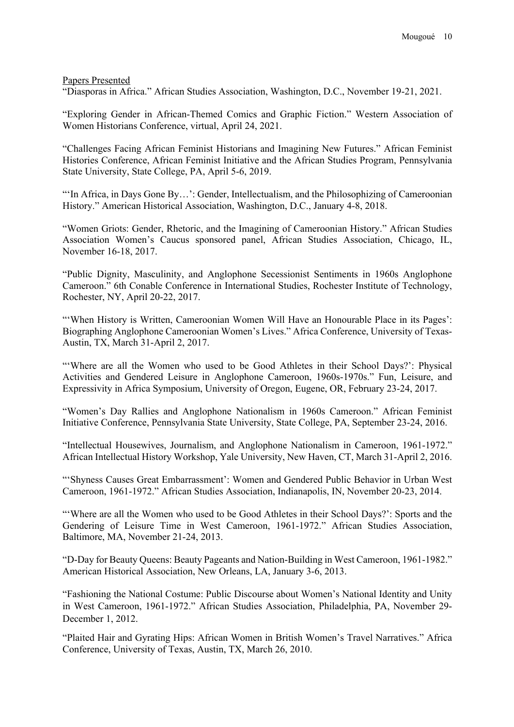Papers Presented

"Diasporas in Africa." African Studies Association, Washington, D.C., November 19-21, 2021.

"Exploring Gender in African-Themed Comics and Graphic Fiction." Western Association of Women Historians Conference, virtual, April 24, 2021.

"Challenges Facing African Feminist Historians and Imagining New Futures." African Feminist Histories Conference, African Feminist Initiative and the African Studies Program, Pennsylvania State University, State College, PA, April 5-6, 2019.

"'In Africa, in Days Gone By…': Gender, Intellectualism, and the Philosophizing of Cameroonian History." American Historical Association, Washington, D.C., January 4-8, 2018.

"Women Griots: Gender, Rhetoric, and the Imagining of Cameroonian History." African Studies Association Women's Caucus sponsored panel, African Studies Association, Chicago, IL, November 16-18, 2017.

"Public Dignity, Masculinity, and Anglophone Secessionist Sentiments in 1960s Anglophone Cameroon." 6th Conable Conference in International Studies, Rochester Institute of Technology, Rochester, NY, April 20-22, 2017.

"'When History is Written, Cameroonian Women Will Have an Honourable Place in its Pages': Biographing Anglophone Cameroonian Women's Lives." Africa Conference, University of Texas-Austin, TX, March 31-April 2, 2017.

"'Where are all the Women who used to be Good Athletes in their School Days?': Physical Activities and Gendered Leisure in Anglophone Cameroon, 1960s-1970s." Fun, Leisure, and Expressivity in Africa Symposium, University of Oregon, Eugene, OR, February 23-24, 2017.

"Women's Day Rallies and Anglophone Nationalism in 1960s Cameroon." African Feminist Initiative Conference, Pennsylvania State University, State College, PA, September 23-24, 2016.

"Intellectual Housewives, Journalism, and Anglophone Nationalism in Cameroon, 1961-1972." African Intellectual History Workshop, Yale University, New Haven, CT, March 31-April 2, 2016.

"'Shyness Causes Great Embarrassment': Women and Gendered Public Behavior in Urban West Cameroon, 1961-1972." African Studies Association, Indianapolis, IN, November 20-23, 2014.

"'Where are all the Women who used to be Good Athletes in their School Days?': Sports and the Gendering of Leisure Time in West Cameroon, 1961-1972." African Studies Association, Baltimore, MA, November 21-24, 2013.

"D-Day for Beauty Queens: Beauty Pageants and Nation-Building in West Cameroon, 1961-1982." American Historical Association, New Orleans, LA, January 3-6, 2013.

"Fashioning the National Costume: Public Discourse about Women's National Identity and Unity in West Cameroon, 1961-1972." African Studies Association, Philadelphia, PA, November 29- December 1, 2012.

"Plaited Hair and Gyrating Hips: African Women in British Women's Travel Narratives." Africa Conference, University of Texas, Austin, TX, March 26, 2010.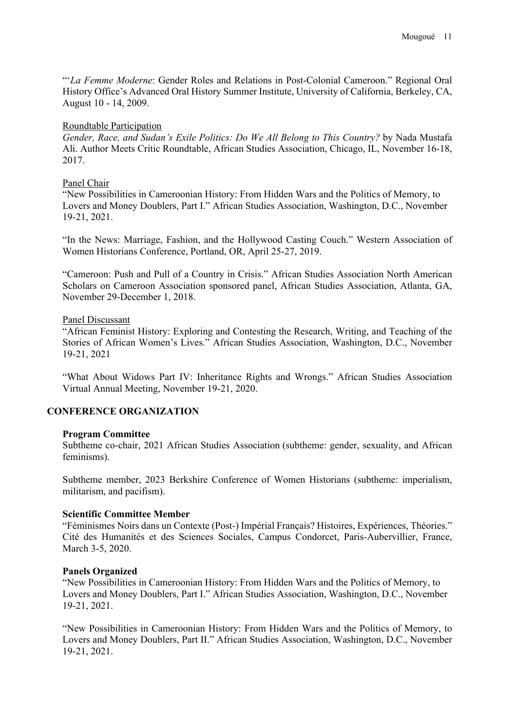"'*La Femme Moderne*: Gender Roles and Relations in Post-Colonial Cameroon." Regional Oral History Office's Advanced Oral History Summer Institute, University of California, Berkeley, CA, August 10 - 14, 2009.

### Roundtable Participation

*Gender, Race, and Sudan's Exile Politics: Do We All Belong to This Country?* by Nada Mustafa Ali. Author Meets Critic Roundtable, African Studies Association, Chicago, IL, November 16-18, 2017.

## Panel Chair

"New Possibilities in Cameroonian History: From Hidden Wars and the Politics of Memory, to Lovers and Money Doublers, Part I." African Studies Association, Washington, D.C., November 19-21, 2021.

"In the News: Marriage, Fashion, and the Hollywood Casting Couch." Western Association of Women Historians Conference, Portland, OR, April 25-27, 2019.

"Cameroon: Push and Pull of a Country in Crisis." African Studies Association North American Scholars on Cameroon Association sponsored panel, African Studies Association, Atlanta, GA, November 29-December 1, 2018.

## Panel Discussant

"African Feminist History: Exploring and Contesting the Research, Writing, and Teaching of the Stories of African Women's Lives." African Studies Association, Washington, D.C., November 19-21, 2021

"What About Widows Part IV: Inheritance Rights and Wrongs." African Studies Association Virtual Annual Meeting, November 19-21, 2020.

# **CONFERENCE ORGANIZATION**

### **Program Committee**

Subtheme co-chair, 2021 African Studies Association (subtheme: gender, sexuality, and African feminisms).

Subtheme member, 2023 Berkshire Conference of Women Historians (subtheme: imperialism, militarism, and pacifism).

### **Scientific Committee Member**

"Féminismes Noirs dans un Contexte (Post-) Impérial Français? Histoires, Expériences, Théories." Cité des Humanités et des Sciences Sociales, Campus Condorcet, Paris-Aubervillier, France, March 3-5, 2020.

### **Panels Organized**

"New Possibilities in Cameroonian History: From Hidden Wars and the Politics of Memory, to Lovers and Money Doublers, Part I." African Studies Association, Washington, D.C., November 19-21, 2021.

"New Possibilities in Cameroonian History: From Hidden Wars and the Politics of Memory, to Lovers and Money Doublers, Part II." African Studies Association, Washington, D.C., November 19-21, 2021.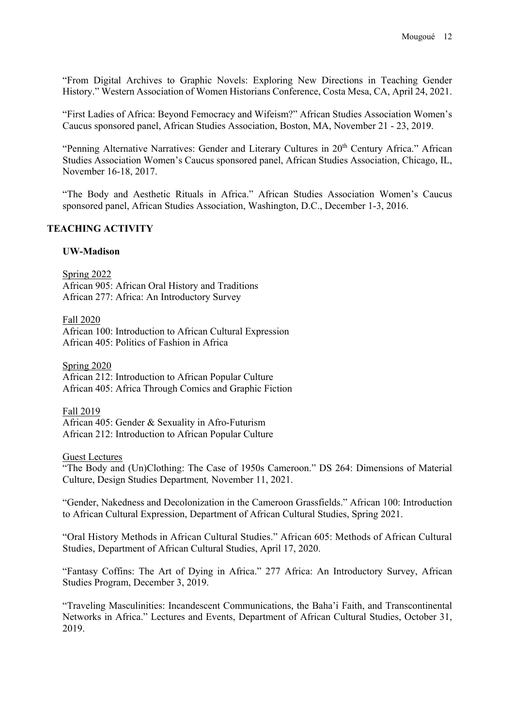"From Digital Archives to Graphic Novels: Exploring New Directions in Teaching Gender History." Western Association of Women Historians Conference, Costa Mesa, CA, April 24, 2021.

"First Ladies of Africa: Beyond Femocracy and Wifeism?" African Studies Association Women's Caucus sponsored panel, African Studies Association, Boston, MA, November 21 - 23, 2019.

"Penning Alternative Narratives: Gender and Literary Cultures in 20<sup>th</sup> Century Africa." African Studies Association Women's Caucus sponsored panel, African Studies Association, Chicago, IL, November 16-18, 2017.

"The Body and Aesthetic Rituals in Africa." African Studies Association Women's Caucus sponsored panel, African Studies Association, Washington, D.C., December 1-3, 2016.

### **TEACHING ACTIVITY**

#### **UW-Madison**

Spring 2022 African 905: African Oral History and Traditions African 277: Africa: An Introductory Survey

Fall 2020

African 100: Introduction to African Cultural Expression African 405: Politics of Fashion in Africa

Spring 2020

African 212: Introduction to African Popular Culture African 405: Africa Through Comics and Graphic Fiction

Fall 2019

African 405: Gender & Sexuality in Afro-Futurism African 212: Introduction to African Popular Culture

Guest Lectures

"The Body and (Un)Clothing: The Case of 1950s Cameroon." DS 264: Dimensions of Material Culture, Design Studies Department*,* November 11, 2021.

"Gender, Nakedness and Decolonization in the Cameroon Grassfields." African 100: Introduction to African Cultural Expression, Department of African Cultural Studies, Spring 2021.

"Oral History Methods in African Cultural Studies." African 605: Methods of African Cultural Studies, Department of African Cultural Studies, April 17, 2020.

"Fantasy Coffins: The Art of Dying in Africa." 277 Africa: An Introductory Survey, African Studies Program, December 3, 2019.

"Traveling Masculinities: Incandescent Communications, the Baha'i Faith, and Transcontinental Networks in Africa." Lectures and Events, Department of African Cultural Studies, October 31, 2019.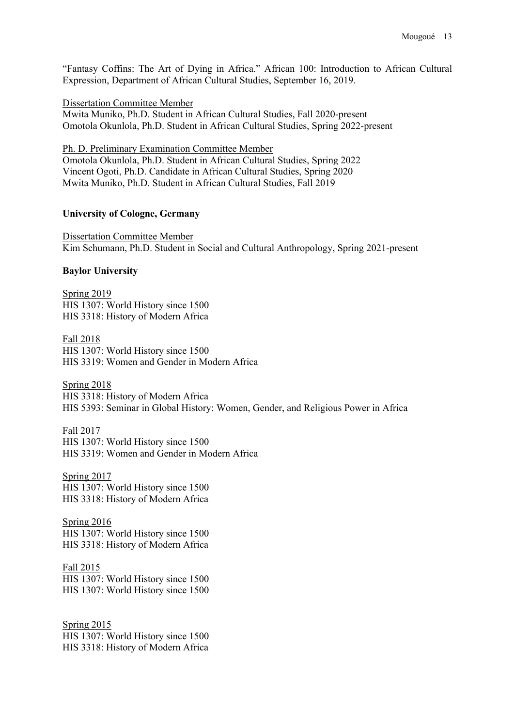"Fantasy Coffins: The Art of Dying in Africa." African 100: Introduction to African Cultural Expression, Department of African Cultural Studies, September 16, 2019.

Dissertation Committee Member

Mwita Muniko, Ph.D. Student in African Cultural Studies, Fall 2020-present Omotola Okunlola, Ph.D. Student in African Cultural Studies, Spring 2022-present

Ph. D. Preliminary Examination Committee Member

Omotola Okunlola, Ph.D. Student in African Cultural Studies, Spring 2022 Vincent Ogoti, Ph.D. Candidate in African Cultural Studies, Spring 2020 Mwita Muniko, Ph.D. Student in African Cultural Studies, Fall 2019

#### **University of Cologne, Germany**

Dissertation Committee Member Kim Schumann, Ph.D. Student in Social and Cultural Anthropology, Spring 2021-present

#### **Baylor University**

**Spring 2019** HIS 1307: World History since 1500 HIS 3318: History of Modern Africa

Fall 2018 HIS 1307: World History since 1500 HIS 3319: Women and Gender in Modern Africa

Spring 2018 HIS 3318: History of Modern Africa HIS 5393: Seminar in Global History: Women, Gender, and Religious Power in Africa

Fall 2017 HIS 1307: World History since 1500 HIS 3319: Women and Gender in Modern Africa

Spring 2017 HIS 1307: World History since 1500 HIS 3318: History of Modern Africa

Spring 2016 HIS 1307: World History since 1500 HIS 3318: History of Modern Africa

Fall 2015 HIS 1307: World History since 1500 HIS 1307: World History since 1500

Spring 2015 HIS 1307: World History since 1500 HIS 3318: History of Modern Africa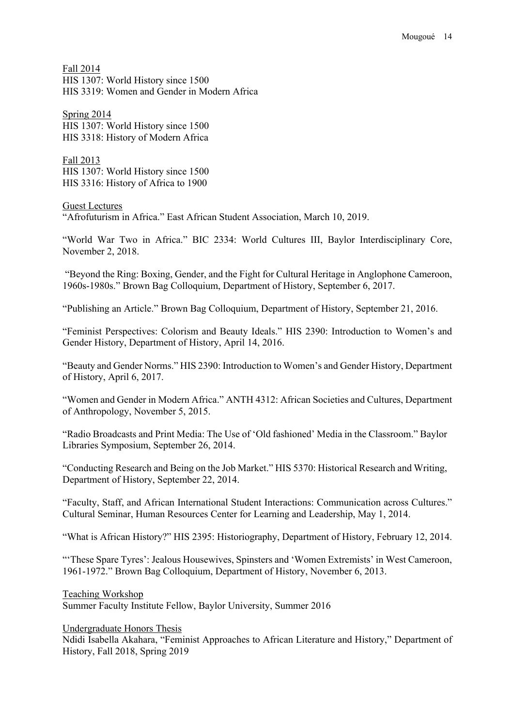Fall 2014 HIS 1307: World History since 1500 HIS 3319: Women and Gender in Modern Africa

Spring 2014 HIS 1307: World History since 1500 HIS 3318: History of Modern Africa

Fall 2013 HIS 1307: World History since 1500 HIS 3316: History of Africa to 1900

Guest Lectures "Afrofuturism in Africa." East African Student Association, March 10, 2019.

"World War Two in Africa." BIC 2334: World Cultures III, Baylor Interdisciplinary Core, November 2, 2018.

"Beyond the Ring: Boxing, Gender, and the Fight for Cultural Heritage in Anglophone Cameroon, 1960s-1980s." Brown Bag Colloquium, Department of History, September 6, 2017.

"Publishing an Article." Brown Bag Colloquium, Department of History, September 21, 2016.

"Feminist Perspectives: Colorism and Beauty Ideals." HIS 2390: Introduction to Women's and Gender History, Department of History, April 14, 2016.

"Beauty and Gender Norms." HIS 2390: Introduction to Women's and Gender History, Department of History, April 6, 2017.

"Women and Gender in Modern Africa." ANTH 4312: African Societies and Cultures, Department of Anthropology, November 5, 2015.

"Radio Broadcasts and Print Media: The Use of 'Old fashioned' Media in the Classroom." Baylor Libraries Symposium, September 26, 2014.

"Conducting Research and Being on the Job Market." HIS 5370: Historical Research and Writing, Department of History, September 22, 2014.

"Faculty, Staff, and African International Student Interactions: Communication across Cultures." Cultural Seminar, Human Resources Center for Learning and Leadership, May 1, 2014.

"What is African History?" HIS 2395: Historiography, Department of History, February 12, 2014.

"'These Spare Tyres': Jealous Housewives, Spinsters and 'Women Extremists' in West Cameroon, 1961-1972." Brown Bag Colloquium, Department of History, November 6, 2013.

Teaching Workshop Summer Faculty Institute Fellow, Baylor University, Summer 2016

Undergraduate Honors Thesis

Ndidi Isabella Akahara, "Feminist Approaches to African Literature and History," Department of History, Fall 2018, Spring 2019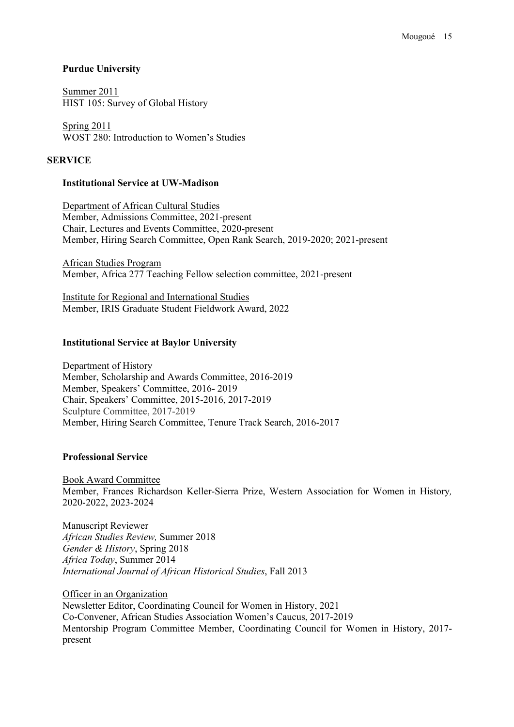### **Purdue University**

Summer 2011 HIST 105: Survey of Global History

Spring 2011 WOST 280: Introduction to Women's Studies

### **SERVICE**

### **Institutional Service at UW-Madison**

Department of African Cultural Studies Member, Admissions Committee, 2021-present Chair, Lectures and Events Committee, 2020-present Member, Hiring Search Committee, Open Rank Search, 2019-2020; 2021-present

African Studies Program Member, Africa 277 Teaching Fellow selection committee, 2021-present

Institute for Regional and International Studies Member, IRIS Graduate Student Fieldwork Award, 2022

#### **Institutional Service at Baylor University**

Department of History Member, Scholarship and Awards Committee, 2016-2019 Member, Speakers' Committee, 2016- 2019 Chair, Speakers' Committee, 2015-2016, 2017-2019 Sculpture Committee, 2017-2019 Member, Hiring Search Committee, Tenure Track Search, 2016-2017

### **Professional Service**

Book Award Committee Member, Frances Richardson Keller-Sierra Prize, Western Association for Women in History*,* 2020-2022, 2023-2024

Manuscript Reviewer *African Studies Review,* Summer 2018 *Gender & History*, Spring 2018 *Africa Today*, Summer 2014 *International Journal of African Historical Studies*, Fall 2013

Officer in an Organization Newsletter Editor, Coordinating Council for Women in History, 2021 Co-Convener, African Studies Association Women's Caucus, 2017-2019 Mentorship Program Committee Member, Coordinating Council for Women in History, 2017 present